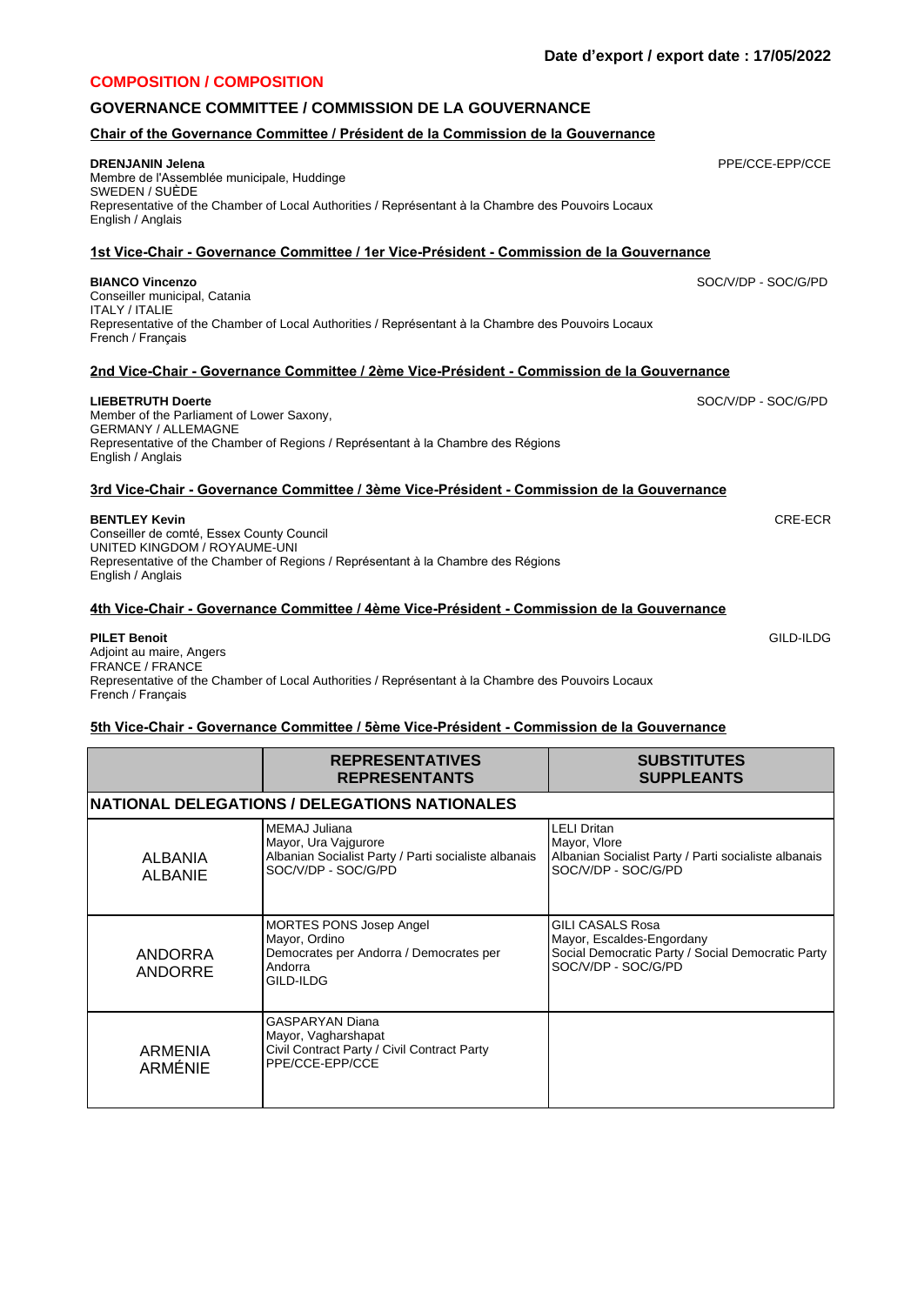# **COMPOSITION / COMPOSITION**

# **GOVERNANCE COMMITTEE / COMMISSION DE LA GOUVERNANCE**

## **Chair of the Governance Committee / Président de la Commission de la Gouvernance**

### **DRENJANIN Jelena**

Membre de l'Assemblée municipale, Huddinge SWEDEN / SUÈDE Representative of the Chamber of Local Authorities / Représentant à la Chambre des Pouvoirs Locaux English / Anglais

# **1st Vice-Chair - Governance Committee / 1er Vice-Président - Commission de la Gouvernance**

### **BIANCO Vincenzo**

Conseiller municipal, Catania ITALY / ITALIE Representative of the Chamber of Local Authorities / Représentant à la Chambre des Pouvoirs Locaux French / Français

# **2nd Vice-Chair - Governance Committee / 2ème Vice-Président - Commission de la Gouvernance**

## **LIEBETRUTH Doerte**

Member of the Parliament of Lower Saxony, GERMANY / ALLEMAGNE Representative of the Chamber of Regions / Représentant à la Chambre des Régions English / Anglais

#### **3rd Vice-Chair - Governance Committee / 3ème Vice-Président - Commission de la Gouvernance**

#### **BENTLEY Kevin**

Conseiller de comté, Essex County Council UNITED KINGDOM / ROYAUME-UNI Representative of the Chamber of Regions / Représentant à la Chambre des Régions English / Anglais

#### **4th Vice-Chair - Governance Committee / 4ème Vice-Président - Commission de la Gouvernance**

#### **PILET Benoit** Adjoint au maire, Angers FRANCE / FRANCE Representative of the Chamber of Local Authorities / Représentant à la Chambre des Pouvoirs Locaux French / Français

#### **5th Vice-Chair - Governance Committee / 5ème Vice-Président - Commission de la Gouvernance**

|                           | <b>REPRESENTATIVES</b><br><b>REPRESENTANTS</b>                                                                       | <b>SUBSTITUTES</b><br><b>SUPPLEANTS</b>                                                                                          |
|---------------------------|----------------------------------------------------------------------------------------------------------------------|----------------------------------------------------------------------------------------------------------------------------------|
|                           | <b>NATIONAL DELEGATIONS / DELEGATIONS NATIONALES</b>                                                                 |                                                                                                                                  |
| ALBANIA<br><b>ALBANIE</b> | MEMAJ Juliana<br>Mayor, Ura Vajgurore<br>Albanian Socialist Party / Parti socialiste albanais<br>SOC/V/DP - SOC/G/PD | LELI Dritan<br>Mayor, Vlore<br>Albanian Socialist Party / Parti socialiste albanais<br>SOC/V/DP - SOC/G/PD                       |
| ANDORRA<br>ANDORRE        | MORTES PONS Josep Angel<br>Mayor, Ordino<br>Democrates per Andorra / Democrates per<br>Andorra<br>GILD-ILDG          | <b>GILI CASALS Rosa</b><br>Mayor, Escaldes-Engordany<br>Social Democratic Party / Social Democratic Party<br>SOC/V/DP - SOC/G/PD |
| ARMENIA<br><b>ARMÉNIE</b> | <b>GASPARYAN Diana</b><br>Mayor, Vagharshapat<br>Civil Contract Party / Civil Contract Party<br>PPE/CCE-EPP/CCE      |                                                                                                                                  |

SOC/V/DP - SOC/G/PD

PPE/CCE-EPP/CCE

SOC/V/DP - SOC/G/PD

GILD-ILDG

CRE-ECR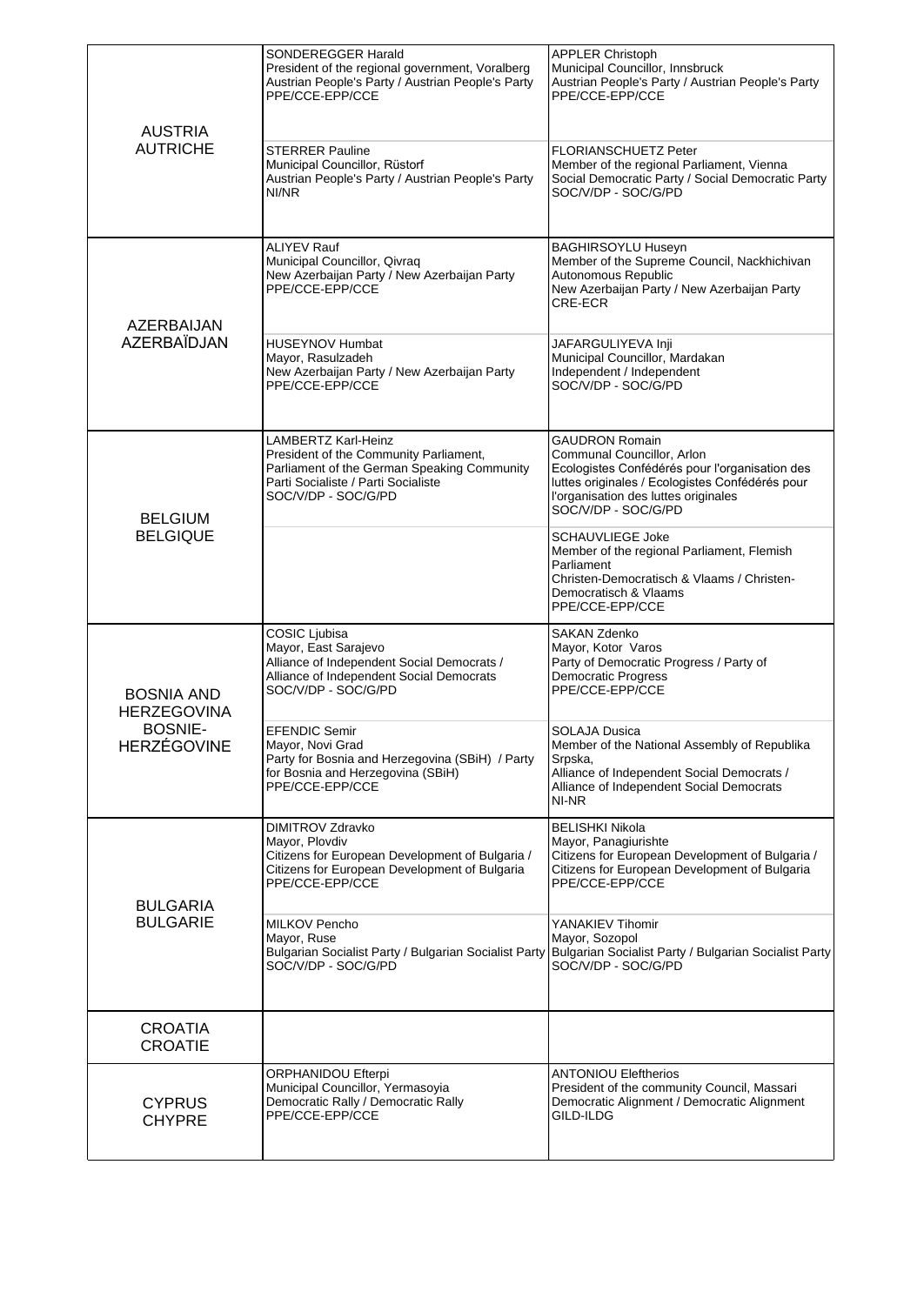| <b>AUSTRIA</b><br><b>AUTRICHE</b>                                               | SONDEREGGER Harald<br>President of the regional government, Voralberg<br>Austrian People's Party / Austrian People's Party<br>PPE/CCE-EPP/CCE<br><b>STERRER Pauline</b><br>Municipal Councillor, Rüstorf<br>Austrian People's Party / Austrian People's Party<br>NI/NR | <b>APPLER Christoph</b><br>Municipal Councillor, Innsbruck<br>Austrian People's Party / Austrian People's Party<br>PPE/CCE-EPP/CCE<br><b>FLORIANSCHUETZ Peter</b><br>Member of the regional Parliament, Vienna<br>Social Democratic Party / Social Democratic Party<br>SOC/V/DP - SOC/G/PD |
|---------------------------------------------------------------------------------|------------------------------------------------------------------------------------------------------------------------------------------------------------------------------------------------------------------------------------------------------------------------|--------------------------------------------------------------------------------------------------------------------------------------------------------------------------------------------------------------------------------------------------------------------------------------------|
| AZERBAIJAN<br><b>AZERBAÏDJAN</b>                                                | <b>ALIYEV Rauf</b><br>Municipal Councillor, Qivraq<br>New Azerbaijan Party / New Azerbaijan Party<br>PPE/CCE-EPP/CCE<br><b>HUSEYNOV Humbat</b><br>Mayor, Rasulzadeh<br>New Azerbaijan Party / New Azerbaijan Party<br>PPE/CCE-EPP/CCE                                  | <b>BAGHIRSOYLU Huseyn</b><br>Member of the Supreme Council, Nackhichivan<br>Autonomous Republic<br>New Azerbaijan Party / New Azerbaijan Party<br>CRE-ECR<br>JAFARGULIYEVA Inji<br>Municipal Councillor, Mardakan<br>Independent / Independent<br>SOC/V/DP - SOC/G/PD                      |
|                                                                                 | <b>LAMBERTZ Karl-Heinz</b><br>President of the Community Parliament,<br>Parliament of the German Speaking Community<br>Parti Socialiste / Parti Socialiste<br>SOC/V/DP - SOC/G/PD                                                                                      | <b>GAUDRON Romain</b><br>Communal Councillor, Arlon<br>Ecologistes Confédérés pour l'organisation des<br>luttes originales / Ecologistes Confédérés pour<br>l'organisation des luttes originales<br>SOC/V/DP - SOC/G/PD                                                                    |
| <b>BELGIUM</b><br><b>BELGIQUE</b>                                               |                                                                                                                                                                                                                                                                        | <b>SCHAUVLIEGE Joke</b><br>Member of the regional Parliament, Flemish<br>Parliament<br>Christen-Democratisch & Vlaams / Christen-<br>Democratisch & Vlaams<br>PPE/CCE-EPP/CCE                                                                                                              |
| <b>BOSNIA AND</b><br><b>HERZEGOVINA</b><br><b>BOSNIE-</b><br><b>HERZÉGOVINE</b> | COSIC Ljubisa<br>Mayor, East Sarajevo<br>Alliance of Independent Social Democrats /<br>Alliance of Independent Social Democrats<br>SOC/V/DP - SOC/G/PD                                                                                                                 | <b>SAKAN Zdenko</b><br>Mayor, Kotor Varos<br>Party of Democratic Progress / Party of<br><b>Democratic Progress</b><br>PPE/CCE-EPP/CCE                                                                                                                                                      |
|                                                                                 | <b>EFENDIC Semir</b><br>Mayor, Novi Grad<br>Party for Bosnia and Herzegovina (SBiH) / Party<br>for Bosnia and Herzegovina (SBiH)<br>PPE/CCE-EPP/CCE                                                                                                                    | <b>SOLAJA Dusica</b><br>Member of the National Assembly of Republika<br>Srpska,<br>Alliance of Independent Social Democrats /<br>Alliance of Independent Social Democrats<br>NI-NR                                                                                                         |
| <b>BULGARIA</b><br><b>BULGARIE</b>                                              | DIMITROV Zdravko<br>Mayor, Plovdiv<br>Citizens for European Development of Bulgaria /<br>Citizens for European Development of Bulgaria<br>PPE/CCE-EPP/CCE                                                                                                              | <b>BELISHKI Nikola</b><br>Mayor, Panagiurishte<br>Citizens for European Development of Bulgaria /<br>Citizens for European Development of Bulgaria<br>PPE/CCE-EPP/CCE                                                                                                                      |
|                                                                                 | MILKOV Pencho<br>Mayor, Ruse<br>SOC/V/DP - SOC/G/PD                                                                                                                                                                                                                    | YANAKIEV Tihomir<br>Mayor, Sozopol<br>Bulgarian Socialist Party / Bulgarian Socialist Party Bulgarian Socialist Party / Bulgarian Socialist Party<br>SOC/V/DP - SOC/G/PD                                                                                                                   |
| CROATIA<br><b>CROATIE</b>                                                       |                                                                                                                                                                                                                                                                        |                                                                                                                                                                                                                                                                                            |
| <b>CYPRUS</b><br><b>CHYPRE</b>                                                  | ORPHANIDOU Efterpi<br>Municipal Councillor, Yermasoyia<br>Democratic Rally / Democratic Rally<br>PPE/CCE-EPP/CCE                                                                                                                                                       | <b>ANTONIOU Eleftherios</b><br>President of the community Council, Massari<br>Democratic Alignment / Democratic Alignment<br>GILD-ILDG                                                                                                                                                     |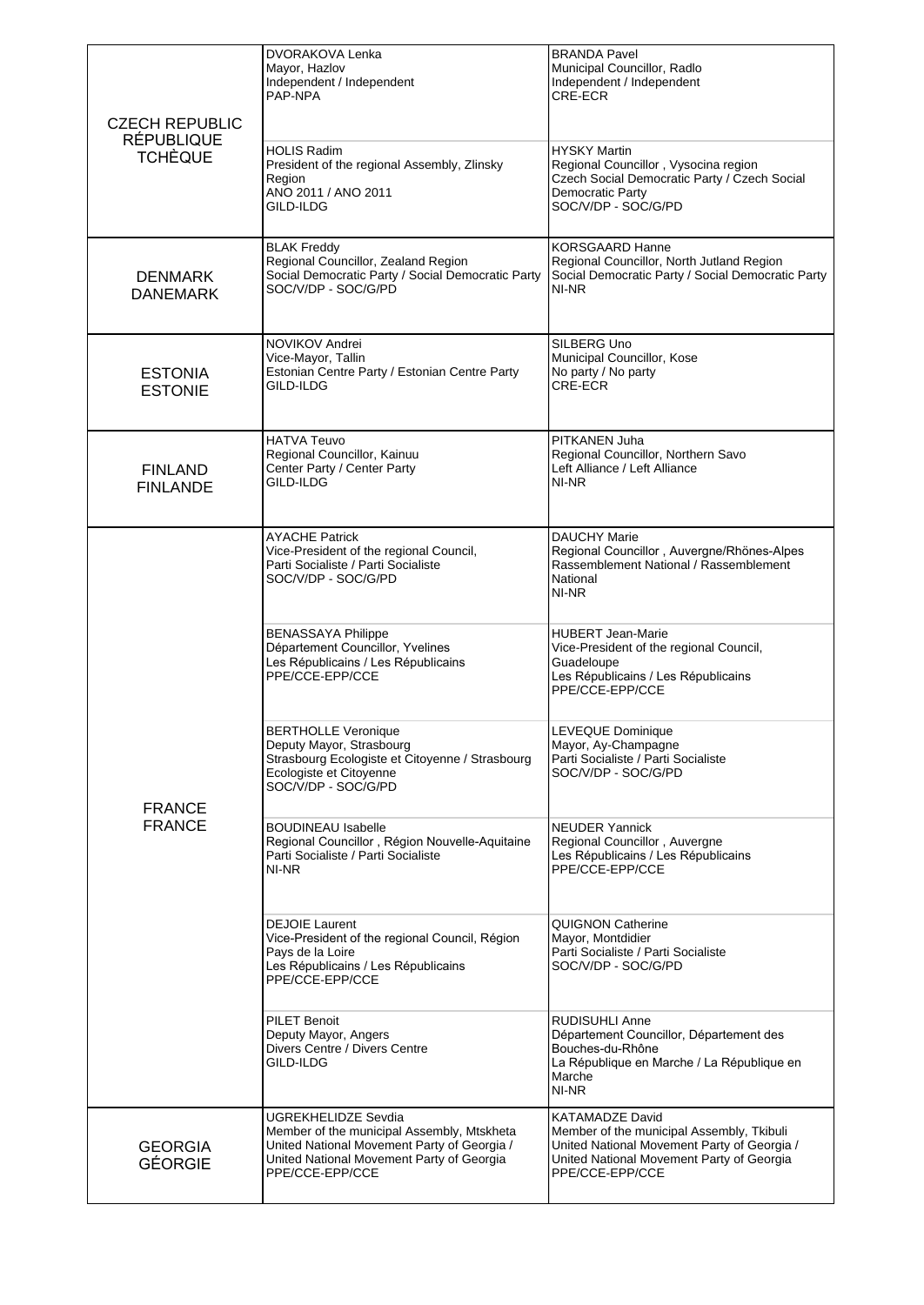| <b>CZECH REPUBLIC</b>               | DVORAKOVA Lenka<br>Mayor, Hazlov<br>Independent / Independent<br>PAP-NPA                                                                                                                | <b>BRANDA Pavel</b><br>Municipal Councillor, Radlo<br>Independent / Independent<br>CRE-ECR                                                                                         |
|-------------------------------------|-----------------------------------------------------------------------------------------------------------------------------------------------------------------------------------------|------------------------------------------------------------------------------------------------------------------------------------------------------------------------------------|
| <b>RÉPUBLIQUE</b><br><b>TCHÈQUE</b> | <b>HOLIS Radim</b><br>President of the regional Assembly, Zlinsky<br>Region<br>ANO 2011 / ANO 2011<br>GILD-ILDG                                                                         | <b>HYSKY Martin</b><br>Regional Councillor, Vysocina region<br>Czech Social Democratic Party / Czech Social<br>Democratic Party<br>SOC/V/DP - SOC/G/PD                             |
| <b>DENMARK</b><br><b>DANEMARK</b>   | <b>BLAK Freddy</b><br>Regional Councillor, Zealand Region<br>Social Democratic Party / Social Democratic Party<br>SOC/V/DP - SOC/G/PD                                                   | <b>KORSGAARD Hanne</b><br>Regional Councillor, North Jutland Region<br>Social Democratic Party / Social Democratic Party<br>NI-NR                                                  |
| <b>ESTONIA</b><br><b>ESTONIE</b>    | NOVIKOV Andrei<br>Vice-Mayor, Tallin<br>Estonian Centre Party / Estonian Centre Party<br>GILD-ILDG                                                                                      | SILBERG Uno<br>Municipal Councillor, Kose<br>No party / No party<br>CRE-ECR                                                                                                        |
| <b>FINLAND</b><br><b>FINLANDE</b>   | <b>HATVA Teuvo</b><br>Regional Councillor, Kainuu<br>Center Party / Center Party<br>GILD-ILDG                                                                                           | PITKANEN Juha<br>Regional Councillor, Northern Savo<br>Left Alliance / Left Alliance<br>NI-NR                                                                                      |
| <b>FRANCE</b><br><b>FRANCE</b>      | <b>AYACHE Patrick</b><br>Vice-President of the regional Council,<br>Parti Socialiste / Parti Socialiste<br>SOC/V/DP - SOC/G/PD                                                          | <b>DAUCHY Marie</b><br>Regional Councillor, Auvergne/Rhönes-Alpes<br>Rassemblement National / Rassemblement<br>National<br>NI-NR                                                   |
|                                     | <b>BENASSAYA Philippe</b><br>Département Councillor, Yvelines<br>Les Républicains / Les Républicains<br>PPE/CCE-EPP/CCE                                                                 | <b>HUBERT Jean-Marie</b><br>Vice-President of the regional Council,<br>Guadeloupe<br>Les Républicains / Les Républicains<br>PPE/CCE-EPP/CCE                                        |
|                                     | <b>BERTHOLLE Veronique</b><br>Deputy Mayor, Strasbourg<br>Strasbourg Ecologiste et Citoyenne / Strasbourg<br>Ecologiste et Citoyenne<br>SOC/V/DP - SOC/G/PD                             | <b>LEVEQUE Dominique</b><br>Mayor, Ay-Champagne<br>Parti Socialiste / Parti Socialiste<br>SOC/V/DP - SOC/G/PD                                                                      |
|                                     | <b>BOUDINEAU Isabelle</b><br>Regional Councillor, Région Nouvelle-Aquitaine<br>Parti Socialiste / Parti Socialiste<br>NI-NR                                                             | <b>NEUDER Yannick</b><br>Regional Councillor, Auvergne<br>Les Républicains / Les Républicains<br>PPE/CCE-EPP/CCE                                                                   |
|                                     | <b>DEJOIE Laurent</b><br>Vice-President of the regional Council, Région<br>Pays de la Loire<br>Les Républicains / Les Républicains<br>PPE/CCE-EPP/CCE                                   | <b>QUIGNON Catherine</b><br>Mayor, Montdidier<br>Parti Socialiste / Parti Socialiste<br>SOC/V/DP - SOC/G/PD                                                                        |
|                                     | <b>PILET Benoit</b><br>Deputy Mayor, Angers<br>Divers Centre / Divers Centre<br>GILD-ILDG                                                                                               | <b>RUDISUHLI Anne</b><br>Département Councillor, Département des<br>Bouches-du-Rhône<br>La République en Marche / La République en<br>Marche<br>NI-NR                              |
| <b>GEORGIA</b><br><b>GÉORGIE</b>    | <b>UGREKHELIDZE Sevdia</b><br>Member of the municipal Assembly, Mtskheta<br>United National Movement Party of Georgia /<br>United National Movement Party of Georgia<br>PPE/CCE-EPP/CCE | <b>KATAMADZE David</b><br>Member of the municipal Assembly, Tkibuli<br>United National Movement Party of Georgia /<br>United National Movement Party of Georgia<br>PPE/CCE-EPP/CCE |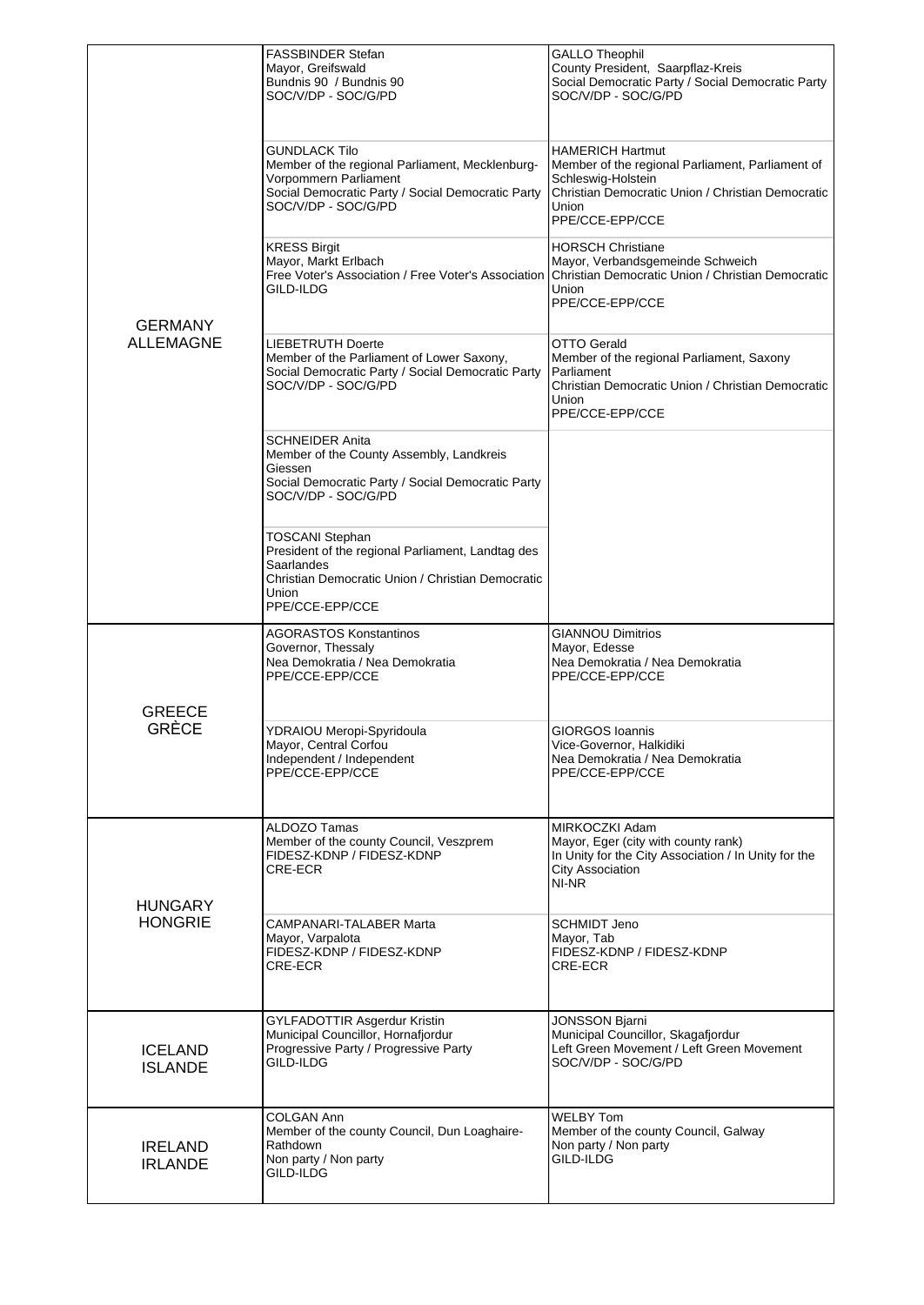| <b>GERMANY</b><br><b>ALLEMAGNE</b> | <b>FASSBINDER Stefan</b><br>Mayor, Greifswald<br>Bundnis 90 / Bundnis 90<br>SOC/V/DP - SOC/G/PD                                                                            | <b>GALLO Theophil</b><br>County President, Saarpflaz-Kreis<br>Social Democratic Party / Social Democratic Party<br>SOC/V/DP - SOC/G/PD                                             |
|------------------------------------|----------------------------------------------------------------------------------------------------------------------------------------------------------------------------|------------------------------------------------------------------------------------------------------------------------------------------------------------------------------------|
|                                    | GUNDLACK Tilo<br>Member of the regional Parliament, Mecklenburg-<br>Vorpommern Parliament<br>Social Democratic Party / Social Democratic Party<br>SOC/V/DP - SOC/G/PD      | <b>HAMERICH Hartmut</b><br>Member of the regional Parliament, Parliament of<br>Schleswig-Holstein<br>Christian Democratic Union / Christian Democratic<br>Union<br>PPE/CCE-EPP/CCE |
|                                    | <b>KRESS Birgit</b><br>Mayor, Markt Erlbach<br>Free Voter's Association / Free Voter's Association<br>GILD-ILDG                                                            | <b>HORSCH Christiane</b><br>Mayor, Verbandsgemeinde Schweich<br>Christian Democratic Union / Christian Democratic<br>Union<br>PPE/CCE-EPP/CCE                                      |
|                                    | LIEBETRUTH Doerte<br>Member of the Parliament of Lower Saxony,<br>Social Democratic Party / Social Democratic Party<br>SOC/V/DP - SOC/G/PD                                 | OTTO Gerald<br>Member of the regional Parliament, Saxony<br>Parliament<br>Christian Democratic Union / Christian Democratic<br>Union<br>PPE/CCE-EPP/CCE                            |
|                                    | <b>SCHNEIDER Anita</b><br>Member of the County Assembly, Landkreis<br>Giessen<br>Social Democratic Party / Social Democratic Party<br>SOC/V/DP - SOC/G/PD                  |                                                                                                                                                                                    |
|                                    | <b>TOSCANI Stephan</b><br>President of the regional Parliament, Landtag des<br>Saarlandes<br>Christian Democratic Union / Christian Democratic<br>Union<br>PPE/CCE-EPP/CCE |                                                                                                                                                                                    |
| <b>GREECE</b><br><b>GRÈCE</b>      | <b>AGORASTOS Konstantinos</b><br>Governor, Thessaly<br>Nea Demokratia / Nea Demokratia<br>PPE/CCE-EPP/CCE                                                                  | <b>GIANNOU Dimitrios</b><br>Mayor, Edesse<br>Nea Demokratia / Nea Demokratia<br>PPE/CCE-EPP/CCE                                                                                    |
|                                    | YDRAIOU Meropi-Spyridoula<br>Mayor, Central Corfou<br>Independent / Independent<br>PPE/CCE-EPP/CCE                                                                         | <b>GIORGOS Ioannis</b><br>Vice-Governor, Halkidiki<br>Nea Demokratia / Nea Demokratia<br>PPE/CCE-EPP/CCE                                                                           |
| <b>HUNGARY</b><br><b>HONGRIE</b>   | ALDOZO Tamas<br>Member of the county Council, Veszprem<br>FIDESZ-KDNP / FIDESZ-KDNP<br>CRE-ECR                                                                             | MIRKOCZKI Adam<br>Mayor, Eger (city with county rank)<br>In Unity for the City Association / In Unity for the<br><b>City Association</b><br>NI-NR                                  |
|                                    | CAMPANARI-TALABER Marta<br>Mayor, Varpalota<br>FIDESZ-KDNP / FIDESZ-KDNP<br>CRE-ECR                                                                                        | SCHMIDT Jeno<br>Mayor, Tab<br>FIDESZ-KDNP / FIDESZ-KDNP<br>CRE-ECR                                                                                                                 |
| <b>ICELAND</b><br><b>ISLANDE</b>   | GYLFADOTTIR Asgerdur Kristin<br>Municipal Councillor, Hornafjordur<br>Progressive Party / Progressive Party<br>GILD-ILDG                                                   | <b>JONSSON Bjarni</b><br>Municipal Councillor, Skagafjordur<br>Left Green Movement / Left Green Movement<br>SOC/V/DP - SOC/G/PD                                                    |
| <b>IRELAND</b><br><b>IRLANDE</b>   | COLGAN Ann<br>Member of the county Council, Dun Loaghaire-<br>Rathdown<br>Non party / Non party<br>GILD-ILDG                                                               | <b>WELBY Tom</b><br>Member of the county Council, Galway<br>Non party / Non party<br>GILD-ILDG                                                                                     |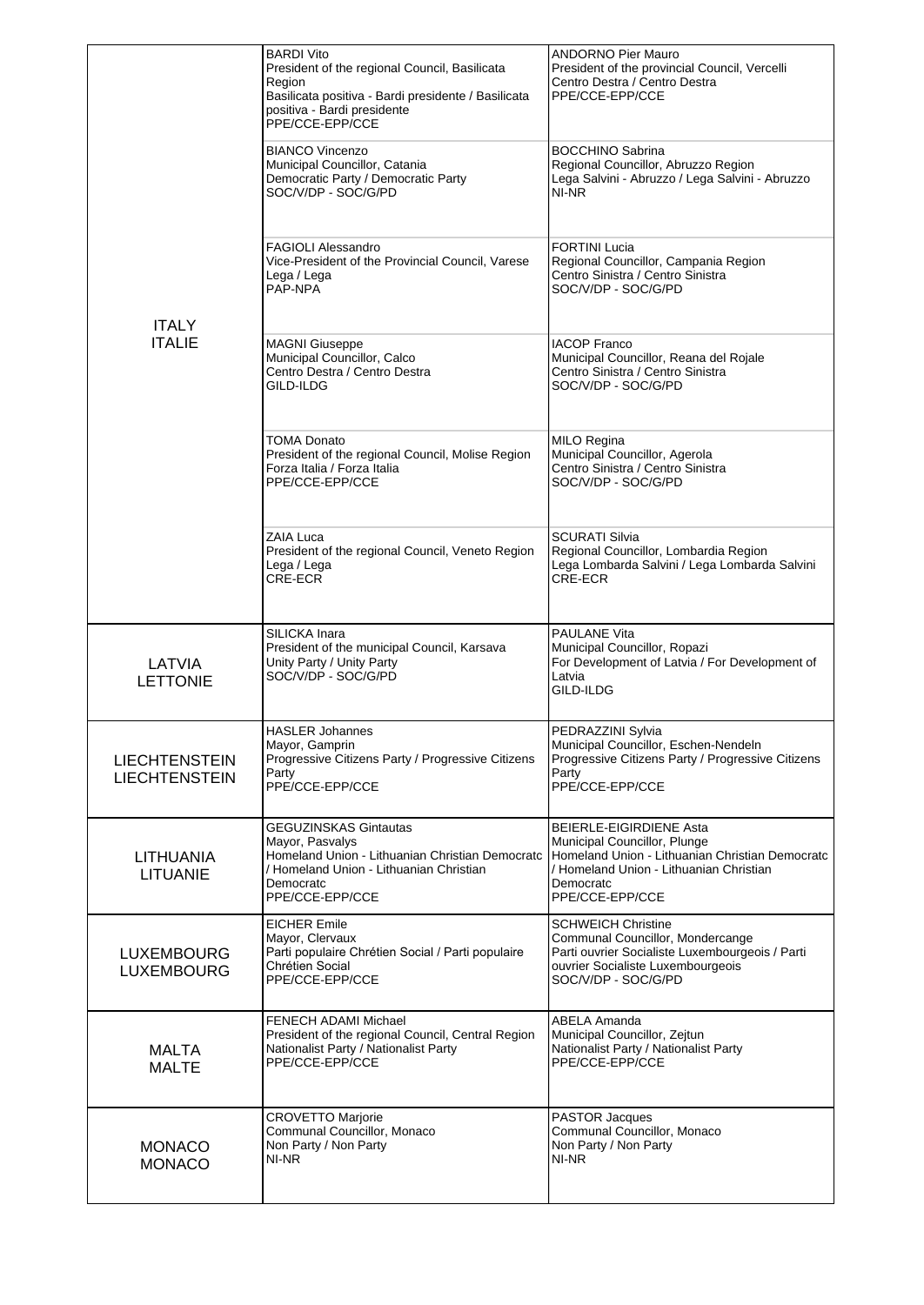|                                              | <b>BARDI Vito</b><br>President of the regional Council, Basilicata<br>Region<br>Basilicata positiva - Bardi presidente / Basilicata<br>positiva - Bardi presidente<br>PPE/CCE-EPP/CCE | <b>ANDORNO Pier Mauro</b><br>President of the provincial Council, Vercelli<br>Centro Destra / Centro Destra<br>PPE/CCE-EPP/CCE                                                        |
|----------------------------------------------|---------------------------------------------------------------------------------------------------------------------------------------------------------------------------------------|---------------------------------------------------------------------------------------------------------------------------------------------------------------------------------------|
|                                              | <b>BIANCO Vincenzo</b><br>Municipal Councillor, Catania<br>Democratic Party / Democratic Party<br>SOC/V/DP - SOC/G/PD                                                                 | <b>BOCCHINO Sabrina</b><br>Regional Councillor, Abruzzo Region<br>Lega Salvini - Abruzzo / Lega Salvini - Abruzzo<br>NI-NR                                                            |
| <b>ITALY</b>                                 | <b>FAGIOLI Alessandro</b><br>Vice-President of the Provincial Council, Varese<br>Lega / Lega<br>PAP-NPA                                                                               | <b>FORTINI Lucia</b><br>Regional Councillor, Campania Region<br>Centro Sinistra / Centro Sinistra<br>SOC/V/DP - SOC/G/PD                                                              |
| <b>ITALIE</b>                                | <b>MAGNI Giuseppe</b><br>Municipal Councillor, Calco<br>Centro Destra / Centro Destra<br>GILD-ILDG                                                                                    | <b>IACOP Franco</b><br>Municipal Councillor, Reana del Rojale<br>Centro Sinistra / Centro Sinistra<br>SOC/V/DP - SOC/G/PD                                                             |
|                                              | TOMA Donato<br>President of the regional Council, Molise Region<br>Forza Italia / Forza Italia<br>PPE/CCE-EPP/CCE                                                                     | <b>MILO Regina</b><br>Municipal Councillor, Agerola<br>Centro Sinistra / Centro Sinistra<br>SOC/V/DP - SOC/G/PD                                                                       |
|                                              | ZAIA Luca<br>President of the regional Council, Veneto Region<br>Lega / Lega<br>CRE-ECR                                                                                               | SCURATI Silvia<br>Regional Councillor, Lombardia Region<br>Lega Lombarda Salvini / Lega Lombarda Salvini<br>CRE-ECR                                                                   |
| LATVIA<br><b>LETTONIE</b>                    | SILICKA Inara<br>President of the municipal Council, Karsava<br>Unity Party / Unity Party<br>SOC/V/DP - SOC/G/PD                                                                      | PAULANE Vita<br>Municipal Councillor, Ropazi<br>For Development of Latvia / For Development of<br>Latvia<br>GILD-ILDG                                                                 |
| <b>LIECHTENSTEIN</b><br><b>LIECHTENSTEIN</b> | <b>HASLER Johannes</b><br>Mayor, Gamprin<br>Progressive Citizens Party / Progressive Citizens<br>Party<br>PPE/CCE-EPP/CCE                                                             | PEDRAZZINI Sylvia<br>Municipal Councillor, Eschen-Nendeln<br>Progressive Citizens Party / Progressive Citizens<br>Party<br>PPE/CCE-EPP/CCE                                            |
| <b>LITHUANIA</b><br><b>LITUANIE</b>          | GEGUZINSKAS Gintautas<br>Mayor, Pasvalys<br>Homeland Union - Lithuanian Christian Democratc<br>/ Homeland Union - Lithuanian Christian<br>Democratc<br>PPE/CCE-EPP/CCE                | BEIERLE-EIGIRDIENE Asta<br>Municipal Councillor, Plunge<br>Homeland Union - Lithuanian Christian Democratc<br>/ Homeland Union - Lithuanian Christian<br>Democratc<br>PPE/CCE-EPP/CCE |
| <b>LUXEMBOURG</b><br><b>LUXEMBOURG</b>       | <b>EICHER Emile</b><br>Mayor, Clervaux<br>Parti populaire Chrétien Social / Parti populaire<br>Chrétien Social<br>PPE/CCE-EPP/CCE                                                     | <b>SCHWEICH Christine</b><br>Communal Councillor, Mondercange<br>Parti ouvrier Socialiste Luxembourgeois / Parti<br>ouvrier Socialiste Luxembourgeois<br>SOC/V/DP - SOC/G/PD          |
| <b>MALTA</b><br><b>MALTE</b>                 | FENECH ADAMI Michael<br>President of the regional Council, Central Region<br>Nationalist Party / Nationalist Party<br>PPE/CCE-EPP/CCE                                                 | ABELA Amanda<br>Municipal Councillor, Zejtun<br>Nationalist Party / Nationalist Party<br>PPE/CCE-EPP/CCE                                                                              |
| <b>MONACO</b><br><b>MONACO</b>               | <b>CROVETTO Marjorie</b><br>Communal Councillor, Monaco<br>Non Party / Non Party<br>NI-NR                                                                                             | <b>PASTOR Jacques</b><br>Communal Councillor, Monaco<br>Non Party / Non Party<br>NI-NR                                                                                                |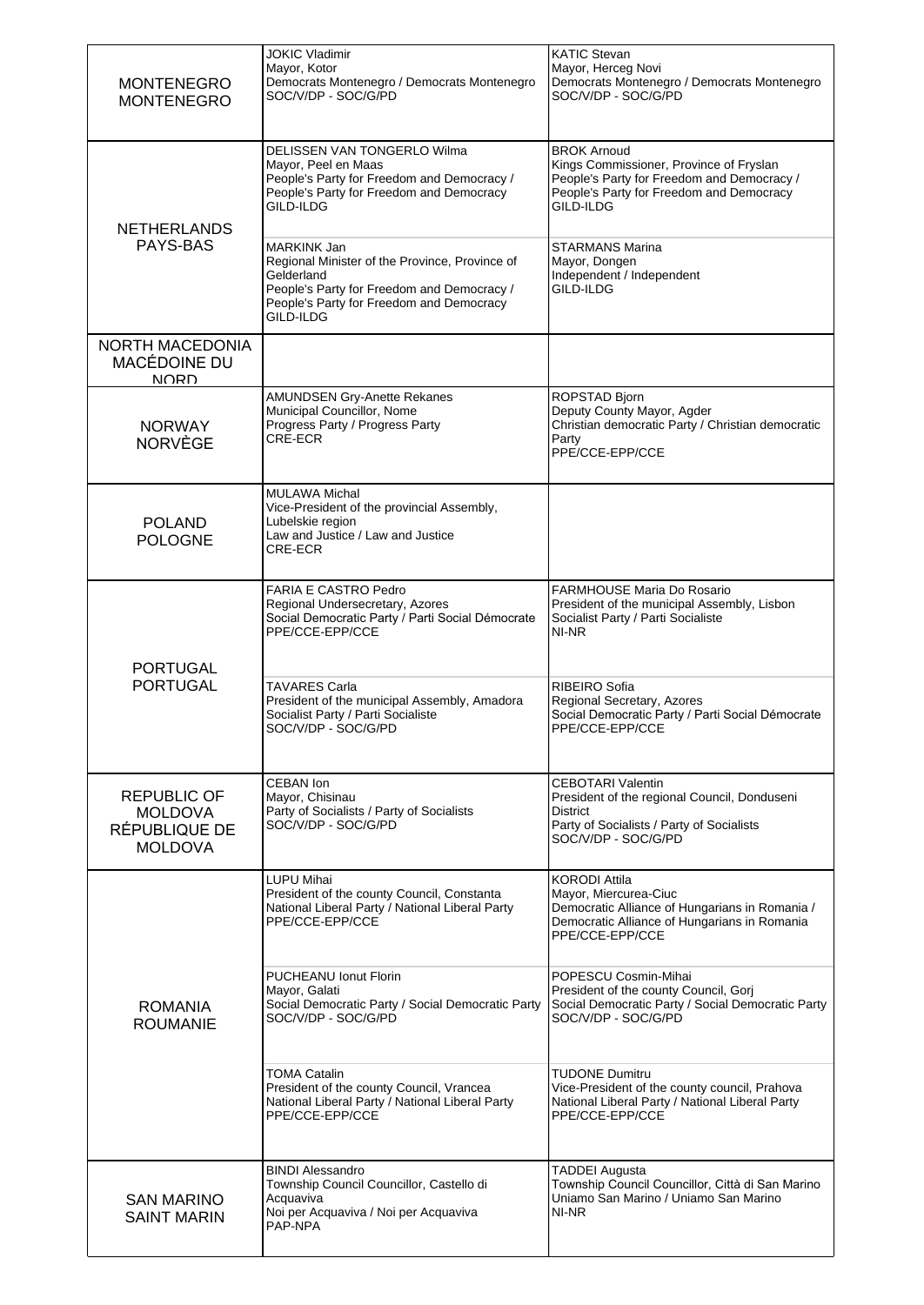| <b>MONTENEGRO</b><br><b>MONTENEGRO</b>                                  | <b>JOKIC Vladimir</b><br>Mayor, Kotor<br>Democrats Montenegro / Democrats Montenegro<br>SOC/V/DP - SOC/G/PD                                                                        | <b>KATIC Stevan</b><br>Mayor, Herceg Novi<br>Democrats Montenegro / Democrats Montenegro<br>SOC/V/DP - SOC/G/PD                                                      |
|-------------------------------------------------------------------------|------------------------------------------------------------------------------------------------------------------------------------------------------------------------------------|----------------------------------------------------------------------------------------------------------------------------------------------------------------------|
| <b>NETHERLANDS</b><br>PAYS-BAS                                          | DELISSEN VAN TONGERLO Wilma<br>Mayor, Peel en Maas<br>People's Party for Freedom and Democracy /<br>People's Party for Freedom and Democracy<br>GILD-ILDG                          | <b>BROK Arnoud</b><br>Kings Commissioner, Province of Fryslan<br>People's Party for Freedom and Democracy /<br>People's Party for Freedom and Democracy<br>GILD-ILDG |
|                                                                         | MARKINK Jan<br>Regional Minister of the Province, Province of<br>Gelderland<br>People's Party for Freedom and Democracy /<br>People's Party for Freedom and Democracy<br>GILD-ILDG | STARMANS Marina<br>Mayor, Dongen<br>Independent / Independent<br>GILD-ILDG                                                                                           |
| NORTH MACEDONIA<br><b>MACÉDOINE DU</b><br><b>NORD</b>                   |                                                                                                                                                                                    |                                                                                                                                                                      |
| <b>NORWAY</b><br><b>NORVÈGE</b>                                         | AMUNDSEN Gry-Anette Rekanes<br>Municipal Councillor, Nome<br>Progress Party / Progress Party<br>CRE-ECR                                                                            | ROPSTAD Bjorn<br>Deputy County Mayor, Agder<br>Christian democratic Party / Christian democratic<br>Party<br>PPE/CCE-EPP/CCE                                         |
| <b>POLAND</b><br><b>POLOGNE</b>                                         | <b>MULAWA Michal</b><br>Vice-President of the provincial Assembly,<br>Lubelskie region<br>Law and Justice / Law and Justice<br>CRE-ECR                                             |                                                                                                                                                                      |
| <b>PORTUGAL</b><br><b>PORTUGAL</b>                                      | FARIA E CASTRO Pedro<br>Regional Undersecretary, Azores<br>Social Democratic Party / Parti Social Démocrate<br>PPE/CCE-EPP/CCE                                                     | FARMHOUSE Maria Do Rosario<br>President of the municipal Assembly, Lisbon<br>Socialist Party / Parti Socialiste<br>NI-NR                                             |
|                                                                         | <b>TAVARES Carla</b><br>President of the municipal Assembly, Amadora<br>Socialist Party / Parti Socialiste<br>SOC/V/DP - SOC/G/PD                                                  | RIBEIRO Sofia<br>Regional Secretary, Azores<br>Social Democratic Party / Parti Social Démocrate<br>PPE/CCE-EPP/CCE                                                   |
| <b>REPUBLIC OF</b><br><b>MOLDOVA</b><br>RÉPUBLIQUE DE<br><b>MOLDOVA</b> | CEBAN Ion<br>Mayor, Chisinau<br>Party of Socialists / Party of Socialists<br>SOC/V/DP - SOC/G/PD                                                                                   | <b>CEBOTARI Valentin</b><br>President of the regional Council, Donduseni<br>District<br>Party of Socialists / Party of Socialists<br>SOC/V/DP - SOC/G/PD             |
| ROMANIA<br><b>ROUMANIE</b>                                              | <b>LUPU Mihai</b><br>President of the county Council, Constanta<br>National Liberal Party / National Liberal Party<br>PPE/CCE-EPP/CCE                                              | <b>KORODI Attila</b><br>Mayor, Miercurea-Ciuc<br>Democratic Alliance of Hungarians in Romania /<br>Democratic Alliance of Hungarians in Romania<br>PPE/CCE-EPP/CCE   |
|                                                                         | PUCHEANU Ionut Florin<br>Mayor, Galati<br>Social Democratic Party / Social Democratic Party<br>SOC/V/DP - SOC/G/PD                                                                 | POPESCU Cosmin-Mihai<br>President of the county Council, Gorj<br>Social Democratic Party / Social Democratic Party<br>SOC/V/DP - SOC/G/PD                            |
|                                                                         | <b>TOMA Catalin</b><br>President of the county Council, Vrancea<br>National Liberal Party / National Liberal Party<br>PPE/CCE-EPP/CCE                                              | <b>TUDONE Dumitru</b><br>Vice-President of the county council, Prahova<br>National Liberal Party / National Liberal Party<br>PPE/CCE-EPP/CCE                         |
| <b>SAN MARINO</b><br><b>SAINT MARIN</b>                                 | <b>BINDI Alessandro</b><br>Township Council Councillor, Castello di<br>Acquaviva<br>Noi per Acquaviva / Noi per Acquaviva<br>PAP-NPA                                               | <b>TADDEI Augusta</b><br>Township Council Councillor, Città di San Marino<br>Uniamo San Marino / Uniamo San Marino<br>NI-NR                                          |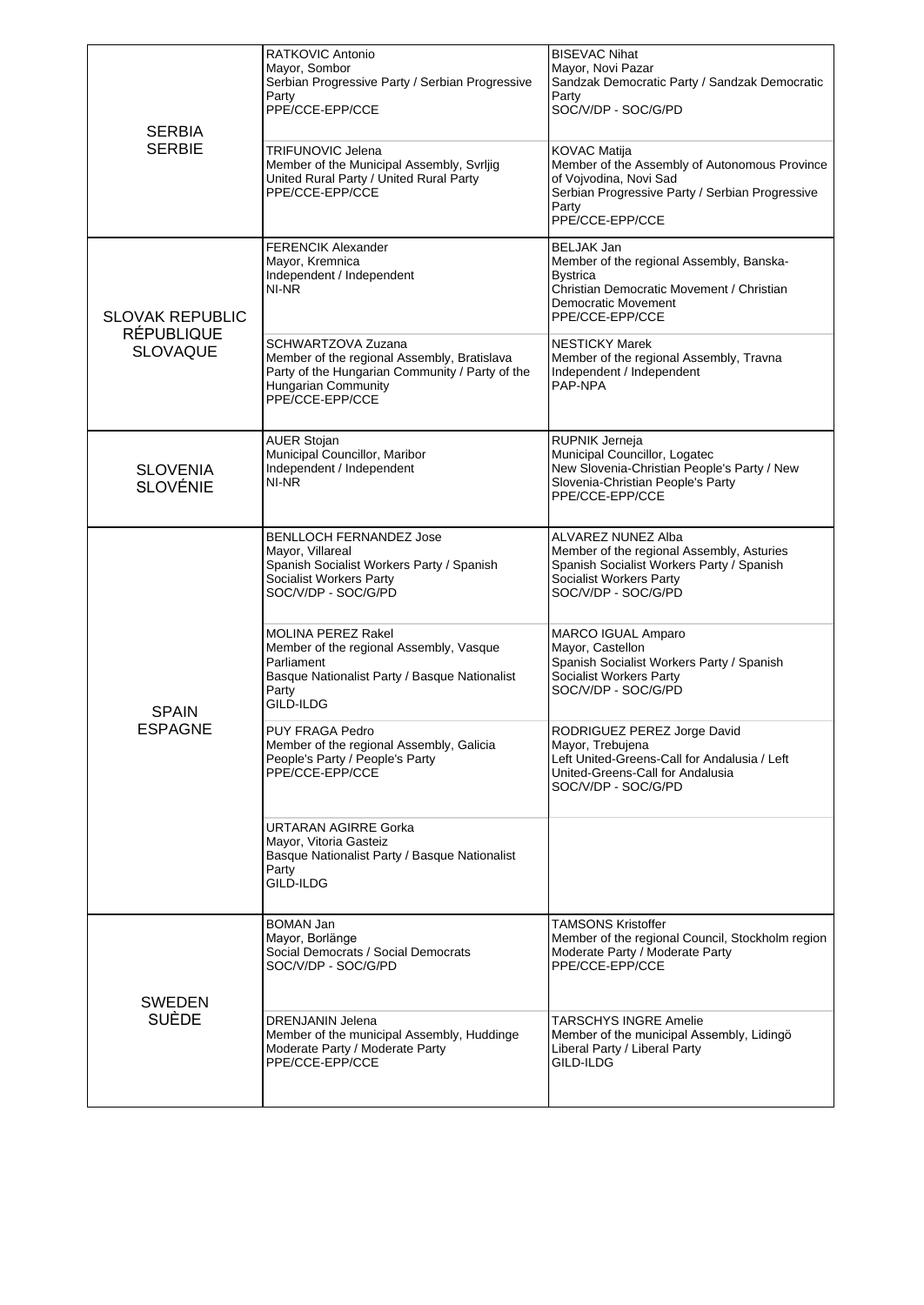| <b>SERBIA</b><br><b>SERBIE</b>                                 | RATKOVIC Antonio<br>Mayor, Sombor<br>Serbian Progressive Party / Serbian Progressive<br>Party<br>PPE/CCE-EPP/CCE<br><b>TRIFUNOVIC Jelena</b><br>Member of the Municipal Assembly, Svrljig<br>United Rural Party / United Rural Party<br>PPE/CCE-EPP/CCE | <b>BISEVAC Nihat</b><br>Mayor, Novi Pazar<br>Sandzak Democratic Party / Sandzak Democratic<br>Party<br>SOC/V/DP - SOC/G/PD<br><b>KOVAC Matija</b><br>Member of the Assembly of Autonomous Province<br>of Vojvodina, Novi Sad<br>Serbian Progressive Party / Serbian Progressive<br>Party<br>PPE/CCE-EPP/CCE |
|----------------------------------------------------------------|---------------------------------------------------------------------------------------------------------------------------------------------------------------------------------------------------------------------------------------------------------|-------------------------------------------------------------------------------------------------------------------------------------------------------------------------------------------------------------------------------------------------------------------------------------------------------------|
| <b>SLOVAK REPUBLIC</b><br><b>RÉPUBLIQUE</b><br><b>SLOVAQUE</b> | <b>FERENCIK Alexander</b><br>Mayor, Kremnica<br>Independent / Independent<br>NI-NR                                                                                                                                                                      | <b>BELJAK Jan</b><br>Member of the regional Assembly, Banska-<br><b>Bystrica</b><br>Christian Democratic Movement / Christian<br>Democratic Movement<br>PPE/CCE-EPP/CCE                                                                                                                                     |
|                                                                | SCHWARTZOVA Zuzana<br>Member of the regional Assembly, Bratislava<br>Party of the Hungarian Community / Party of the<br>Hungarian Community<br>PPE/CCE-EPP/CCE                                                                                          | <b>NESTICKY Marek</b><br>Member of the regional Assembly, Travna<br>Independent / Independent<br>PAP-NPA                                                                                                                                                                                                    |
| <b>SLOVENIA</b><br><b>SLOVÉNIE</b>                             | <b>AUER Stojan</b><br>Municipal Councillor, Maribor<br>Independent / Independent<br>NI-NR                                                                                                                                                               | RUPNIK Jerneja<br>Municipal Councillor, Logatec<br>New Slovenia-Christian People's Party / New<br>Slovenia-Christian People's Party<br>PPE/CCE-EPP/CCE                                                                                                                                                      |
| <b>SPAIN</b><br>ESPAGNE                                        | <b>BENLLOCH FERNANDEZ Jose</b><br>Mayor, Villareal<br>Spanish Socialist Workers Party / Spanish<br>Socialist Workers Party<br>SOC/V/DP - SOC/G/PD                                                                                                       | ALVAREZ NUNEZ Alba<br>Member of the regional Assembly, Asturies<br>Spanish Socialist Workers Party / Spanish<br>Socialist Workers Party<br>SOC/V/DP - SOC/G/PD                                                                                                                                              |
|                                                                | <b>MOLINA PEREZ Rakel</b><br>Member of the regional Assembly, Vasque<br>Parliament<br>Basque Nationalist Party / Basque Nationalist<br>Party<br>GILD-ILDG                                                                                               | MARCO IGUAL Amparo<br>Mayor, Castellon<br>Spanish Socialist Workers Party / Spanish<br>Socialist Workers Party<br>SOC/V/DP - SOC/G/PD                                                                                                                                                                       |
|                                                                | PUY FRAGA Pedro<br>Member of the regional Assembly, Galicia<br>People's Party / People's Party<br>PPE/CCE-EPP/CCE                                                                                                                                       | RODRIGUEZ PEREZ Jorge David<br>Mayor, Trebujena<br>Left United-Greens-Call for Andalusia / Left<br>United-Greens-Call for Andalusia<br>SOC/V/DP - SOC/G/PD                                                                                                                                                  |
|                                                                | URTARAN AGIRRE Gorka<br>Mayor, Vitoria Gasteiz<br>Basque Nationalist Party / Basque Nationalist<br>Party<br>GILD-ILDG                                                                                                                                   |                                                                                                                                                                                                                                                                                                             |
| <b>SWEDEN</b><br><b>SUÈDE</b>                                  | <b>BOMAN Jan</b><br>Mayor, Borlänge<br>Social Democrats / Social Democrats<br>SOC/V/DP - SOC/G/PD                                                                                                                                                       | <b>TAMSONS Kristoffer</b><br>Member of the regional Council, Stockholm region<br>Moderate Party / Moderate Party<br>PPE/CCE-EPP/CCE                                                                                                                                                                         |
|                                                                | <b>DRENJANIN Jelena</b><br>Member of the municipal Assembly, Huddinge<br>Moderate Party / Moderate Party<br>PPE/CCE-EPP/CCE                                                                                                                             | <b>TARSCHYS INGRE Amelie</b><br>Member of the municipal Assembly, Lidingö<br>Liberal Party / Liberal Party<br>GILD-ILDG                                                                                                                                                                                     |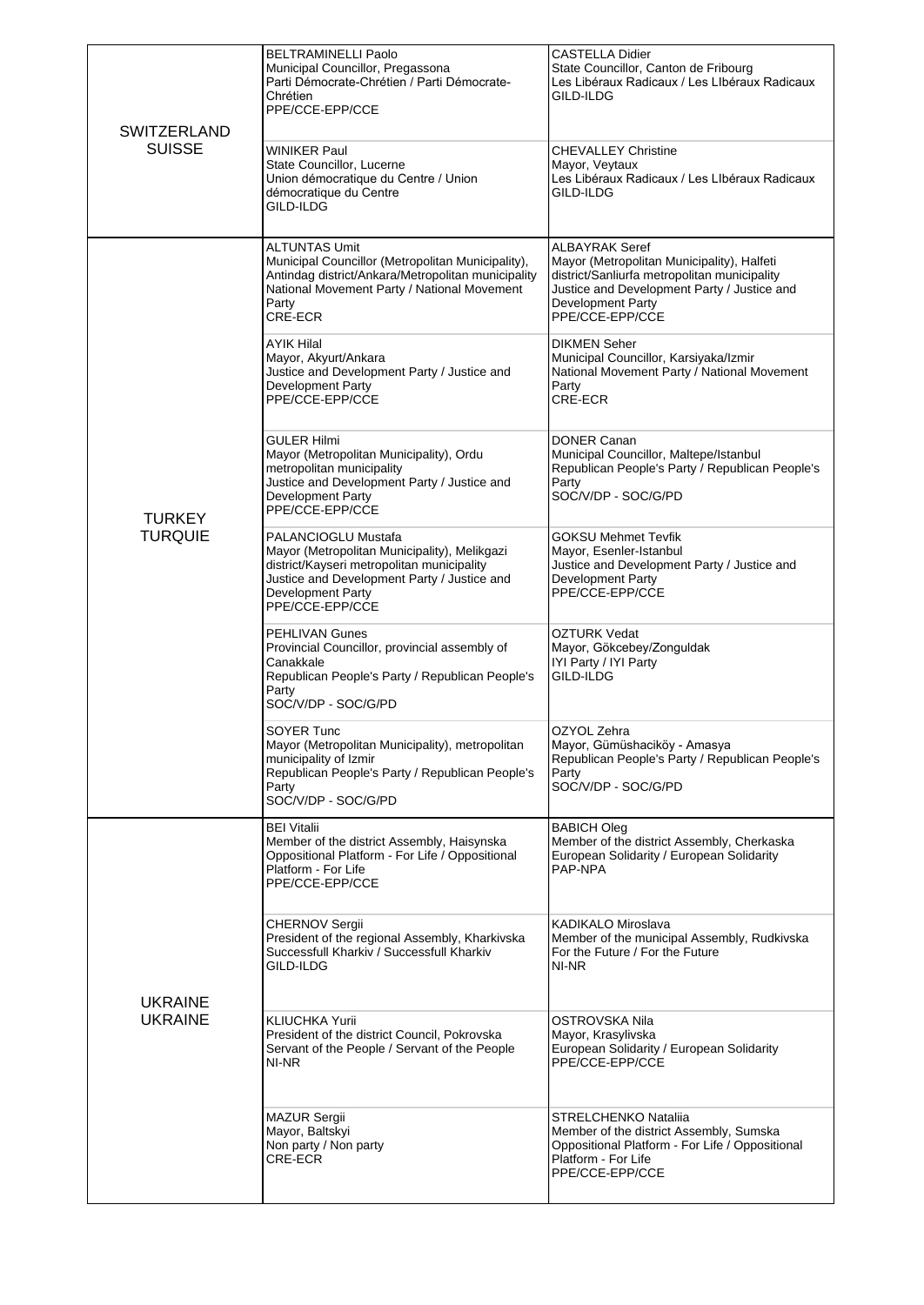| <b>SWITZERLAND</b><br><b>SUISSE</b> | <b>BELTRAMINELLI Paolo</b><br>Municipal Councillor, Pregassona<br>Parti Démocrate-Chrétien / Parti Démocrate-<br>Chrétien<br>PPE/CCE-EPP/CCE<br><b>WINIKER Paul</b><br>State Councillor, Lucerne<br>Union démocratique du Centre / Union<br>démocratique du Centre<br>GILD-ILDG                                                        | <b>CASTELLA Didier</b><br>State Councillor, Canton de Fribourg<br>Les Libéraux Radicaux / Les LIbéraux Radicaux<br>GILD-ILDG<br><b>CHEVALLEY Christine</b><br>Mayor, Veytaux<br>Les Libéraux Radicaux / Les LIbéraux Radicaux<br>GILD-ILDG                                                                                             |
|-------------------------------------|----------------------------------------------------------------------------------------------------------------------------------------------------------------------------------------------------------------------------------------------------------------------------------------------------------------------------------------|----------------------------------------------------------------------------------------------------------------------------------------------------------------------------------------------------------------------------------------------------------------------------------------------------------------------------------------|
| <b>TURKEY</b><br><b>TURQUIE</b>     | <b>ALTUNTAS Umit</b><br>Municipal Councillor (Metropolitan Municipality),<br>Antindag district/Ankara/Metropolitan municipality<br>National Movement Party / National Movement<br>Party<br>CRE-ECR<br>AYIK Hilal<br>Mayor, Akyurt/Ankara<br>Justice and Development Party / Justice and<br><b>Development Party</b><br>PPE/CCE-EPP/CCE | <b>ALBAYRAK Seref</b><br>Mayor (Metropolitan Municipality), Halfeti<br>district/Sanliurfa metropolitan municipality<br>Justice and Development Party / Justice and<br>Development Party<br>PPE/CCE-EPP/CCE<br>DIKMEN Seher<br>Municipal Councillor, Karsiyaka/Izmir<br>National Movement Party / National Movement<br>Party<br>CRE-ECR |
|                                     | <b>GULER Hilmi</b><br>Mayor (Metropolitan Municipality), Ordu<br>metropolitan municipality<br>Justice and Development Party / Justice and<br><b>Development Party</b><br>PPE/CCE-EPP/CCE                                                                                                                                               | <b>DONER Canan</b><br>Municipal Councillor, Maltepe/Istanbul<br>Republican People's Party / Republican People's<br>Party<br>SOC/V/DP - SOC/G/PD                                                                                                                                                                                        |
|                                     | PALANCIOGLU Mustafa<br>Mayor (Metropolitan Municipality), Melikgazi<br>district/Kayseri metropolitan municipality<br>Justice and Development Party / Justice and<br><b>Development Party</b><br>PPE/CCE-EPP/CCE                                                                                                                        | <b>GOKSU Mehmet Tevfik</b><br>Mayor, Esenler-Istanbul<br>Justice and Development Party / Justice and<br><b>Development Party</b><br>PPE/CCE-EPP/CCE                                                                                                                                                                                    |
|                                     | PEHLIVAN Gunes<br>Provincial Councillor, provincial assembly of<br>Canakkale<br>Republican People's Party / Republican People's<br>Party<br>SOC/V/DP - SOC/G/PD                                                                                                                                                                        | OZTURK Vedat<br>Mayor, Gökcebey/Zonguldak<br>IYI Party / IYI Party<br>GILD-ILDG                                                                                                                                                                                                                                                        |
|                                     | SOYER Tunc<br>Mayor (Metropolitan Municipality), metropolitan<br>municipality of Izmir<br>Republican People's Party / Republican People's<br>Party<br>SOC/V/DP - SOC/G/PD                                                                                                                                                              | OZYOL Zehra<br>Mayor, Gümüshaciköy - Amasya<br>Republican People's Party / Republican People's<br>Party<br>SOC/V/DP - SOC/G/PD                                                                                                                                                                                                         |
| <b>UKRAINE</b><br><b>UKRAINE</b>    | <b>BEI Vitalii</b><br>Member of the district Assembly, Haisynska<br>Oppositional Platform - For Life / Oppositional<br>Platform - For Life<br>PPE/CCE-EPP/CCE                                                                                                                                                                          | <b>BABICH Oleg</b><br>Member of the district Assembly, Cherkaska<br>European Solidarity / European Solidarity<br>PAP-NPA                                                                                                                                                                                                               |
|                                     | <b>CHERNOV Sergii</b><br>President of the regional Assembly, Kharkivska<br>Successfull Kharkiv / Successfull Kharkiv<br>GILD-ILDG                                                                                                                                                                                                      | KADIKALO Miroslava<br>Member of the municipal Assembly, Rudkivska<br>For the Future / For the Future<br>NI-NR                                                                                                                                                                                                                          |
|                                     | KLIUCHKA Yurii<br>President of the district Council, Pokrovska<br>Servant of the People / Servant of the People<br>NI-NR                                                                                                                                                                                                               | OSTROVSKA Nila<br>Mayor, Krasylivska<br>European Solidarity / European Solidarity<br>PPE/CCE-EPP/CCE                                                                                                                                                                                                                                   |
|                                     | <b>MAZUR Sergii</b><br>Mayor, Baltskyi<br>Non party / Non party<br>CRE-ECR                                                                                                                                                                                                                                                             | STRELCHENKO Natalija<br>Member of the district Assembly, Sumska<br>Oppositional Platform - For Life / Oppositional<br>Platform - For Life<br>PPE/CCE-EPP/CCE                                                                                                                                                                           |